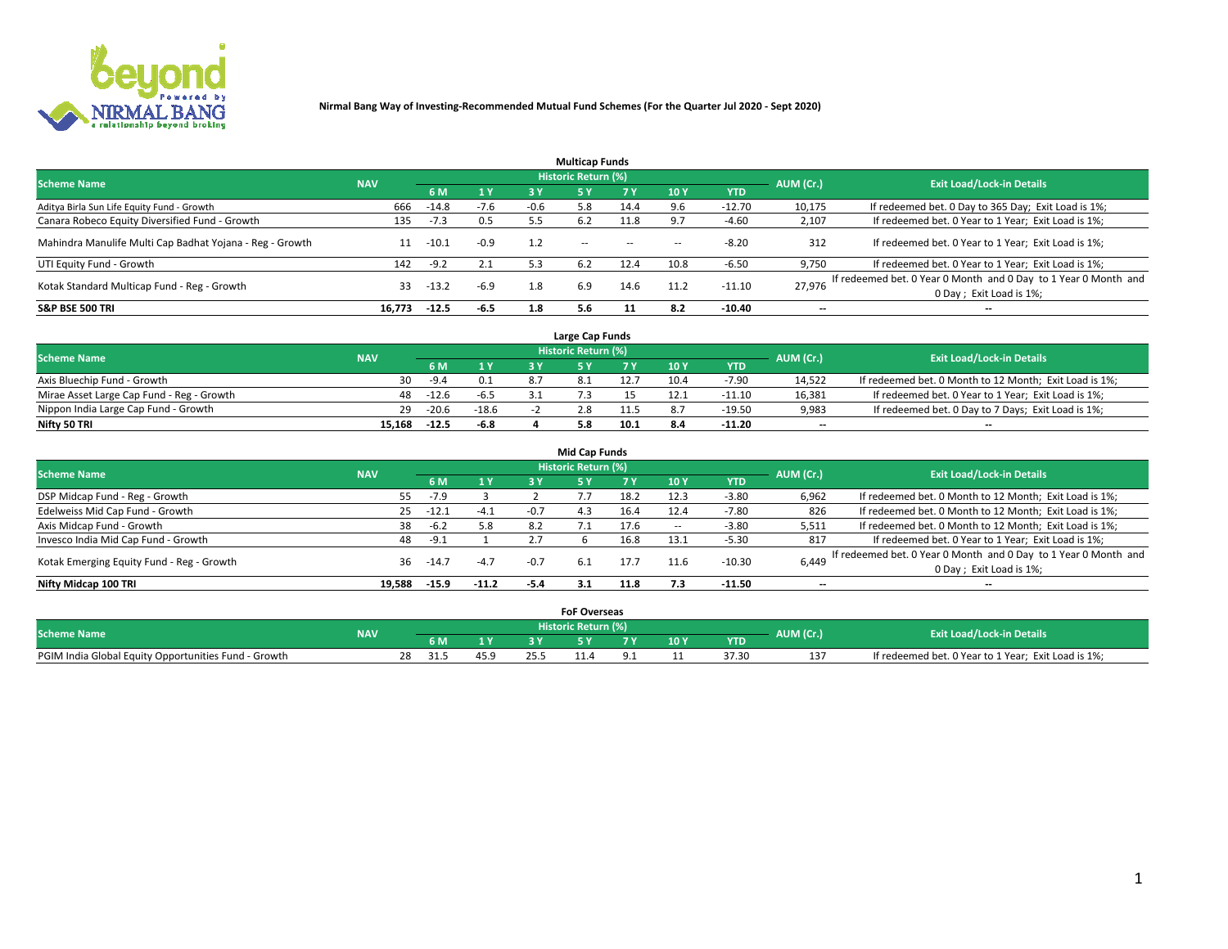

|                                                          |            |         |        |        | <b>Multicap Funds</b> |           |      |            |                          |                                                                                             |
|----------------------------------------------------------|------------|---------|--------|--------|-----------------------|-----------|------|------------|--------------------------|---------------------------------------------------------------------------------------------|
| <b>Scheme Name</b>                                       | <b>NAV</b> |         |        |        | Historic Return (%)   |           |      |            | AUM (Cr.)                | <b>Exit Load/Lock-in Details</b>                                                            |
|                                                          |            | 6 M     | 1 Y    | 3 Y    |                       | <b>7Y</b> | 10Y  | <b>YTD</b> |                          |                                                                                             |
| Aditya Birla Sun Life Equity Fund - Growth               | 666        | $-14.8$ | $-7.6$ | $-0.6$ | 5.8                   | 14.4      | 9.6  | $-12.70$   | 10,175                   | If redeemed bet. 0 Day to 365 Day; Exit Load is 1%;                                         |
| Canara Robeco Equity Diversified Fund - Growth           | 135        | $-7.3$  | 0.5    |        | 6.2                   | 11.8      | 9.7  | $-4.60$    | 2,107                    | If redeemed bet. 0 Year to 1 Year; Exit Load is 1%;                                         |
| Mahindra Manulife Multi Cap Badhat Yojana - Reg - Growth |            | $-10.1$ | $-0.9$ | 1.2    | $\sim$ $-$            | $\sim$    | --   | $-8.20$    | 312                      | If redeemed bet. 0 Year to 1 Year; Exit Load is 1%;                                         |
| UTI Equity Fund - Growth                                 | 142        | $-9.2$  | 2.1    | 5.3    | 6.2                   | 12.4      | 10.8 | $-6.50$    | 9,750                    | If redeemed bet. 0 Year to 1 Year; Exit Load is 1%;                                         |
| Kotak Standard Multicap Fund - Reg - Growth              | 33         | $-13.2$ | $-6.9$ | 1.8    | 6.9                   | 14.6      | 11.2 | $-11.10$   | 27.976                   | If redeemed bet. 0 Year 0 Month and 0 Day to 1 Year 0 Month and<br>0 Day ; Exit Load is 1%; |
| <b>S&amp;P BSE 500 TRI</b>                               | 16.773     | $-12.5$ | $-6.5$ | 1.8    | 5.6                   |           | 8.2  | -10.40     | $\overline{\phantom{a}}$ | $- -$                                                                                       |

|                                           |            |         |         | Large Cap Funds     |      |      |            |                          |                                                        |
|-------------------------------------------|------------|---------|---------|---------------------|------|------|------------|--------------------------|--------------------------------------------------------|
| <b>Scheme Name</b>                        | <b>NAV</b> |         |         | Historic Return (%) |      |      |            | AUM (Cr.)                | <b>Exit Load/Lock-in Details</b>                       |
|                                           |            |         | 1 Y     |                     |      | 10 Y | <b>YTD</b> |                          |                                                        |
| Axis Bluechip Fund - Growth               | 30         | $-9.4$  |         |                     |      | 10.4 | $-7.90$    | 14,522                   | If redeemed bet. 0 Month to 12 Month; Exit Load is 1%; |
| Mirae Asset Large Cap Fund - Reg - Growth | 48         | $-12.6$ | $-6.5$  |                     |      |      | $-11.10$   | 16,381                   | If redeemed bet. 0 Year to 1 Year; Exit Load is 1%;    |
| Nippon India Large Cap Fund - Growth      | 29         | $-20.6$ | $-18.6$ |                     |      |      | $-19.50$   | 9,983                    | If redeemed bet. 0 Day to 7 Days; Exit Load is 1%;     |
| Nifty 50 TRI                              | 15.168     | $-12.5$ | $-6.8$  |                     | 10.1 |      | $-11.20$   | $\overline{\phantom{a}}$ | $- -$                                                  |

|                                           |            |         |         |        | <b>Mid Cap Funds</b> |      |        |            |                          |                                                                 |
|-------------------------------------------|------------|---------|---------|--------|----------------------|------|--------|------------|--------------------------|-----------------------------------------------------------------|
| <b>Scheme Name</b>                        | <b>NAV</b> |         |         |        | Historic Return (%)  |      |        |            | AUM (Cr.)                | <b>Exit Load/Lock-in Details</b>                                |
|                                           |            | 6 M     | 1 Y     | 3 Y    |                      |      | 710Y   | <b>YTD</b> |                          |                                                                 |
| DSP Midcap Fund - Reg - Growth            | 55         | $-7.9$  |         |        |                      | 18.2 | 12.3   | $-3.80$    | 6,962                    | If redeemed bet. 0 Month to 12 Month; Exit Load is 1%;          |
| Edelweiss Mid Cap Fund - Growth           | 25         | $-12.1$ | $-4.1$  | $-0.7$ | 4.3                  | 16.4 | 12.4   | $-7.80$    | 826                      | If redeemed bet. 0 Month to 12 Month; Exit Load is 1%;          |
| Axis Midcap Fund - Growth                 | 38         | $-6.2$  | 5.8     | 8.2    |                      | 17.6 | $\sim$ | $-3.80$    | 5,511                    | If redeemed bet. 0 Month to 12 Month; Exit Load is 1%;          |
| Invesco India Mid Cap Fund - Growth       | 48         | $-9.1$  |         |        |                      | 16.8 | 13.1   | $-5.30$    | 817                      | If redeemed bet. 0 Year to 1 Year; Exit Load is 1%;             |
| Kotak Emerging Equity Fund - Reg - Growth | 36         | $-14.7$ | $-4.7$  | $-0.7$ |                      | 17.7 | 11.6   | $-10.30$   | 6,449                    | If redeemed bet. 0 Year 0 Month and 0 Day to 1 Year 0 Month and |
|                                           |            |         |         |        | -6.1                 |      |        |            |                          | 0 Day; Exit Load is 1%;                                         |
| Nifty Midcap 100 TRI                      | 19.588     | $-15.9$ | $-11.2$ | -5.4   | 3.1                  | 11.8 | 7.3    | -11.50     | $\overline{\phantom{a}}$ | $- -$                                                           |

|                                                      |            |           |              | <b>FoF Overseas</b>   |       |      |            |           |                                                     |
|------------------------------------------------------|------------|-----------|--------------|-----------------------|-------|------|------------|-----------|-----------------------------------------------------|
| <b>Scheme Name</b>                                   | <b>NAV</b> |           |              | Historic Return (%) ' |       |      |            | AUM (Cr.) | <b>Exit Load/Lock-in Details</b>                    |
|                                                      |            |           | $\mathbf{v}$ |                       | - - - | 10 Y | <b>YTD</b> |           |                                                     |
| PGIM India Global Equity Opportunities Fund - Growth |            | 28<br>-51 |              |                       |       |      | 37.30      | 13.<br>∸  | If redeemed bet. 0 Year to 1 Year; Exit Load is 1%; |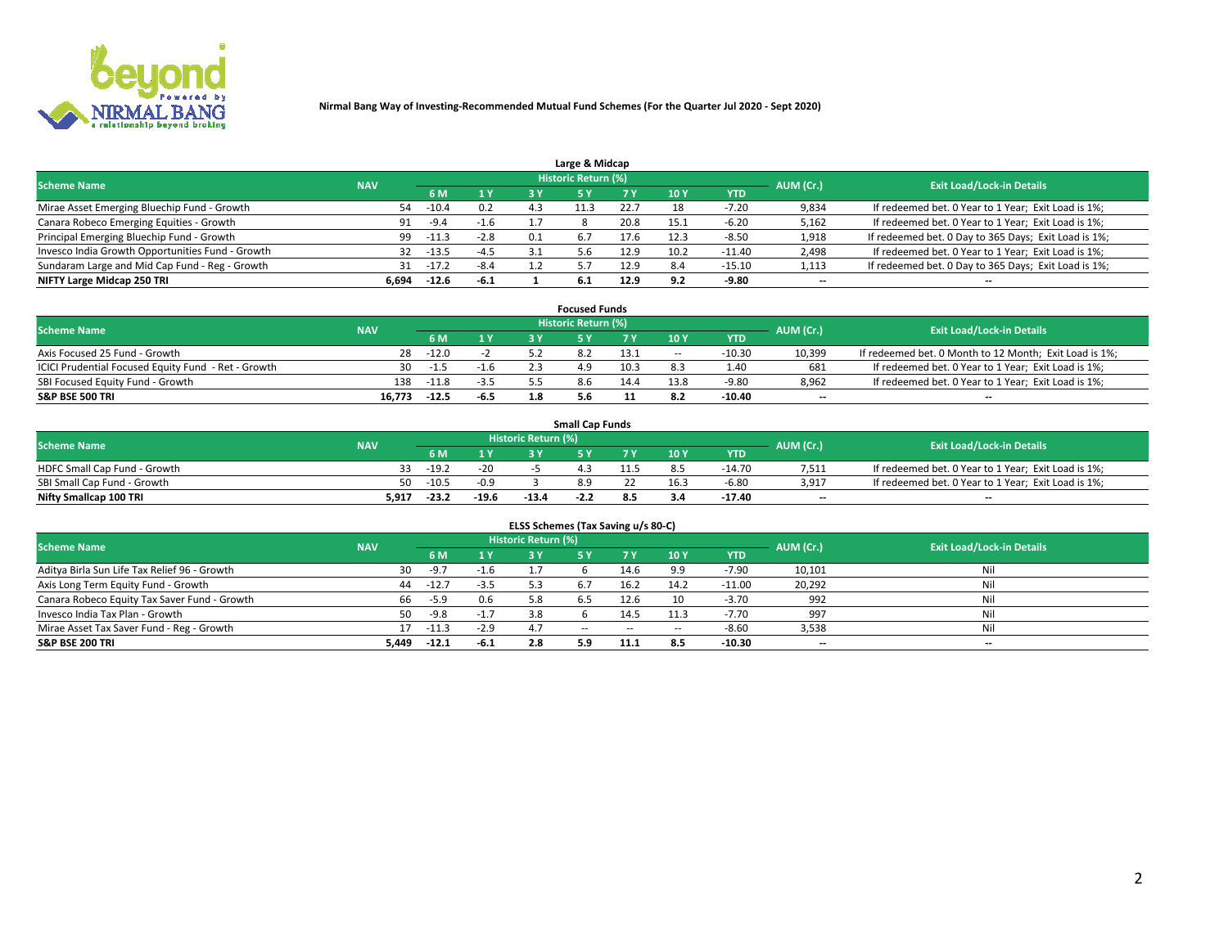

| Large & Midcap                                   |            |         |        |     |                            |      |            |            |           |                                                      |  |  |  |  |
|--------------------------------------------------|------------|---------|--------|-----|----------------------------|------|------------|------------|-----------|------------------------------------------------------|--|--|--|--|
| <b>Scheme Name</b>                               | <b>NAV</b> |         |        |     | <b>Historic Return (%)</b> |      |            |            | AUM (Cr.) | <b>Exit Load/Lock-in Details</b>                     |  |  |  |  |
|                                                  |            | 6 M     | 1 Y    |     |                            |      | <b>10Y</b> | <b>YTD</b> |           |                                                      |  |  |  |  |
| Mirae Asset Emerging Bluechip Fund - Growth      | 54         | $-10.4$ | 0.2    | 4.3 |                            |      |            | -7.20      | 9,834     | If redeemed bet. 0 Year to 1 Year; Exit Load is 1%;  |  |  |  |  |
| Canara Robeco Emerging Equities - Growth         | 91         | -9.4    | $-1.6$ |     |                            | 20.8 | 15.1       | $-6.20$    | 5,162     | If redeemed bet. 0 Year to 1 Year; Exit Load is 1%;  |  |  |  |  |
| Principal Emerging Bluechip Fund - Growth        | 99         | $-11.3$ | $-2.8$ | 0.1 | 6.7                        | 17.6 | 12.3       | $-8.50$    | 1,918     | If redeemed bet. 0 Day to 365 Days; Exit Load is 1%; |  |  |  |  |
| Invesco India Growth Opportunities Fund - Growth | 32         | $-13.5$ | $-4.5$ | 3.1 | 5.6                        | 12.9 | 10.2       | $-11.40$   | 2,498     | If redeemed bet. 0 Year to 1 Year; Exit Load is 1%;  |  |  |  |  |
| Sundaram Large and Mid Cap Fund - Reg - Growth   | 31         | $-17.2$ | $-8.4$ |     |                            | 12.9 | 8.4        | $-15.10$   | 1,113     | If redeemed bet. 0 Day to 365 Days; Exit Load is 1%; |  |  |  |  |
| NIFTY Large Midcap 250 TRI                       | 6.694      | $-12.6$ | -6.1   |     | 6.1                        | 12.9 | 9.2        | -9.80      | $- -$     | $- -$                                                |  |  |  |  |

|                                                     |            |         |        | <b>Focused Funds</b>       |      |        |            |                          |                                                        |
|-----------------------------------------------------|------------|---------|--------|----------------------------|------|--------|------------|--------------------------|--------------------------------------------------------|
| <b>Scheme Name</b>                                  | <b>NAV</b> |         |        | <b>Historic Return (%)</b> |      |        |            | AUM (Cr.)                | <b>Exit Load/Lock-in Details</b>                       |
|                                                     |            | 6 M     | 1 Y    |                            |      | 10 Y   | <b>YTD</b> |                          |                                                        |
| Axis Focused 25 Fund - Growth                       | 28         | $-12.0$ |        |                            | 13.1 | $\sim$ | $-10.30$   | 10,399                   | If redeemed bet. 0 Month to 12 Month; Exit Load is 1%; |
| ICICI Prudential Focused Equity Fund - Ret - Growth | 30         | -1.5    | $-1.6$ |                            | 10.3 |        | 4.40       | 681                      | If redeemed bet. 0 Year to 1 Year; Exit Load is 1%;    |
| SBI Focused Equity Fund - Growth                    | 138        | $-11.8$ | $-3.5$ |                            |      | 13.8   | $-9.80$    | 8,962                    | If redeemed bet. 0 Year to 1 Year; Exit Load is 1%;    |
| <b>S&amp;P BSE 500 TRI</b>                          | 16.773     | $-12.5$ | $-6.5$ |                            |      |        | -10.40     | $\overline{\phantom{a}}$ | $\hspace{0.05cm} \cdots$                               |

|                              |            |         |         |                     | <b>Small Cap Funds</b> |                 |            |           |                                                     |
|------------------------------|------------|---------|---------|---------------------|------------------------|-----------------|------------|-----------|-----------------------------------------------------|
| <b>Scheme Name</b>           | <b>NAV</b> |         |         | Historic Return (%) |                        |                 |            | AUM (Cr.) | <b>Exit Load/Lock-in Details</b>                    |
|                              |            | 6 M     | 1 Y     |                     |                        | 10 <sub>Y</sub> | <b>YTD</b> |           |                                                     |
| HDFC Small Cap Fund - Growth |            | $-19.2$ | $-20$   |                     |                        |                 | $-14.70$   | 7,511     | If redeemed bet. 0 Year to 1 Year; Exit Load is 1%; |
| SBI Small Cap Fund - Growth  | 50.        | $-10.5$ | $-0.9$  |                     | 8.9                    | 16.3            | $-6.80$    | 3,917     | If redeemed bet. 0 Year to 1 Year; Exit Load is 1%; |
| Nifty Smallcap 100 TRI       | 5,917      | $-23.2$ | $-19.6$ | $-13.4$             | -2.L                   |                 | -17.40     | $- -$     | $- -$                                               |

| ELSS Schemes (Tax Saving u/s 80-C)           |            |         |        |                            |            |        |        |            |           |                                  |  |  |  |  |
|----------------------------------------------|------------|---------|--------|----------------------------|------------|--------|--------|------------|-----------|----------------------------------|--|--|--|--|
| <b>Scheme Name</b>                           | <b>NAV</b> |         |        | <b>Historic Return (%)</b> |            |        |        |            | AUM (Cr.) | <b>Exit Load/Lock-in Details</b> |  |  |  |  |
|                                              |            | 6 M     |        |                            |            | 7 Y    | 10 Y   | <b>YTD</b> |           |                                  |  |  |  |  |
| Aditya Birla Sun Life Tax Relief 96 - Growth | 30         | -9.7    | $-1.6$ |                            |            | 14.6   | 9.9    | $-7.90$    | 10,101    | Nil                              |  |  |  |  |
| Axis Long Term Equity Fund - Growth          | 44         | $-12.7$ | $-3.5$ | 5.3                        | 6.7        | 16.2   | 14.2   | $-11.00$   | 20,292    | Nil                              |  |  |  |  |
| Canara Robeco Equity Tax Saver Fund - Growth | 66         | $-5.9$  | 0.6    | 5.8                        | 6.5        | 12.6   | 10     | $-3.70$    | 992       | Nil                              |  |  |  |  |
| Invesco India Tax Plan - Growth              | 50.        | $-9.8$  | $-1.7$ | 3.8                        |            | 14.5   | 11.3   | $-7.70$    | 997       | Nil                              |  |  |  |  |
| Mirae Asset Tax Saver Fund - Reg - Growth    | 17         | $-11.3$ | $-2.9$ | 4.7                        | $\sim$ $-$ | $\sim$ | $\sim$ | $-8.60$    | 3,538     | Nil                              |  |  |  |  |
| S&P BSE 200 TRI                              | 5,449      | $-12.1$ | $-6.1$ | 2.8                        | 5.9        | 11.1   | 8.5    | $-10.30$   | --        | $- -$                            |  |  |  |  |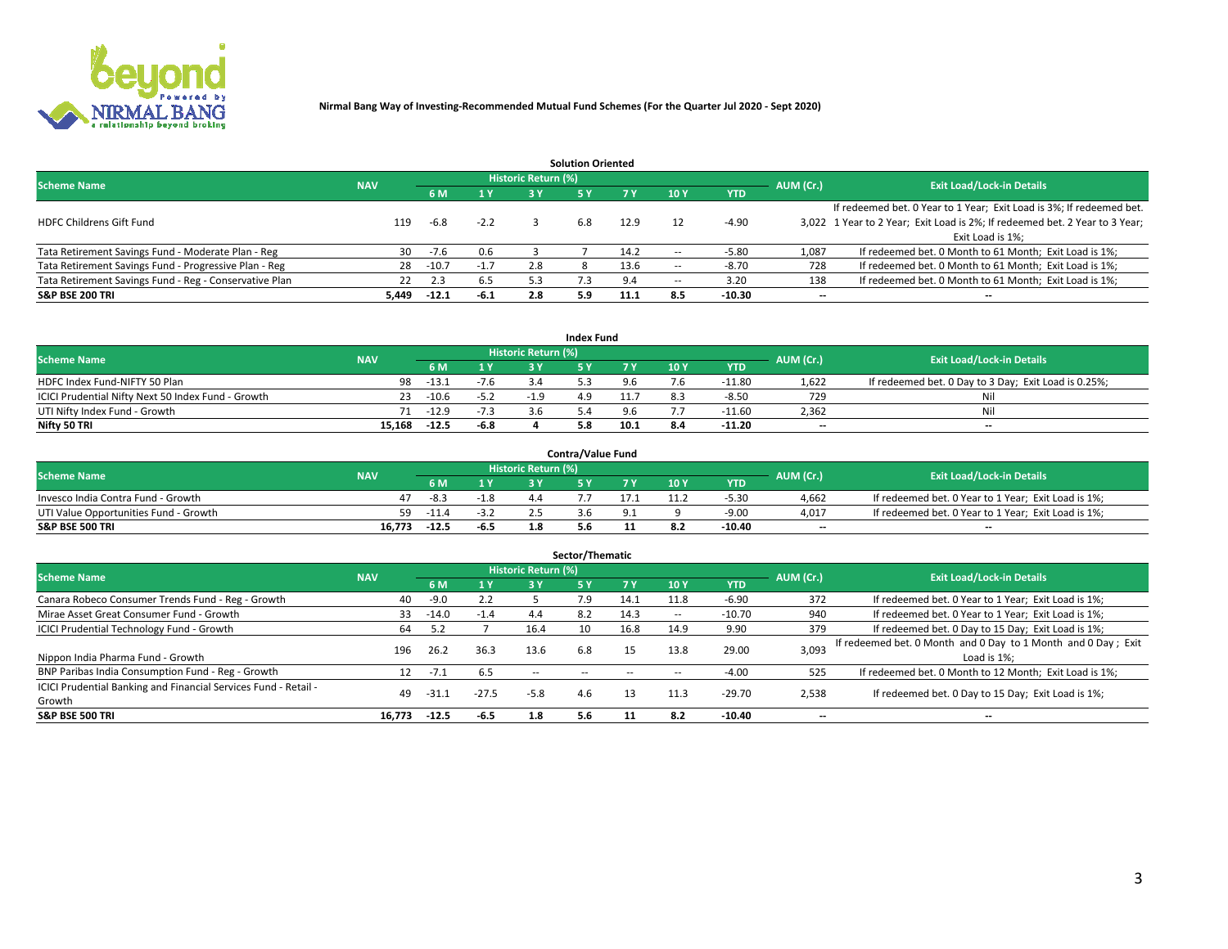

|                                                        |            |            |        |                            | <b>Solution Oriented</b> |      |                          |            |                          |                                                                             |
|--------------------------------------------------------|------------|------------|--------|----------------------------|--------------------------|------|--------------------------|------------|--------------------------|-----------------------------------------------------------------------------|
| <b>Scheme Name</b>                                     | <b>NAV</b> |            |        | <b>Historic Return (%)</b> |                          |      |                          |            | AUM (Cr.)                | <b>Exit Load/Lock-in Details</b>                                            |
|                                                        |            | <b>6 M</b> | 1 Y    | 3 Y                        |                          |      | 10Y                      | <b>YTD</b> |                          |                                                                             |
|                                                        |            |            |        |                            |                          |      |                          |            |                          | If redeemed bet. 0 Year to 1 Year; Exit Load is 3%; If redeemed bet.        |
| <b>HDFC Childrens Gift Fund</b>                        | 119        | $-6.8$     | $-2.2$ |                            | 6.8                      | 12.9 |                          | $-4.90$    |                          | 3,022 1 Year to 2 Year; Exit Load is 2%; If redeemed bet. 2 Year to 3 Year; |
|                                                        |            |            |        |                            |                          |      |                          |            |                          | Exit Load is 1%:                                                            |
| Tata Retirement Savings Fund - Moderate Plan - Reg     | 30         | $-7.6$     | 0.6    |                            |                          | 14.2 | --                       | $-5.80$    | 1,087                    | If redeemed bet. 0 Month to 61 Month; Exit Load is 1%;                      |
| Tata Retirement Savings Fund - Progressive Plan - Reg  | 28         | $-10.7$    | $-1.7$ | 2.8                        |                          | 13.6 | $\overline{\phantom{a}}$ | $-8.70$    | 728                      | If redeemed bet. 0 Month to 61 Month; Exit Load is 1%;                      |
| Tata Retirement Savings Fund - Reg - Conservative Plan | 22         | 2.3        | 6.5    | 5.3                        |                          | 9.4  | --                       | 3.20       | 138                      | If redeemed bet. 0 Month to 61 Month; Exit Load is 1%;                      |
| S&P BSE 200 TRI                                        | 5.449      | $-12.1$    | $-6.1$ |                            | 5.9                      | 11.1 | 8.5                      | $-10.30$   | $\overline{\phantom{a}}$ | $- -$                                                                       |

| <b>Index Fund</b>                                  |            |            |              |                     |    |      |      |            |                          |                                                      |  |  |  |  |
|----------------------------------------------------|------------|------------|--------------|---------------------|----|------|------|------------|--------------------------|------------------------------------------------------|--|--|--|--|
| <b>Scheme Name</b>                                 | <b>NAV</b> |            |              | Historic Return (%) |    |      |      |            | AUM (Cr.)                | <b>Exit Load/Lock-in Details</b>                     |  |  |  |  |
|                                                    |            | <b>6 M</b> | $\sqrt{1}$ V | 2 V                 |    | 7 V  | 10 Y | <b>YTD</b> |                          |                                                      |  |  |  |  |
| HDFC Index Fund-NIFTY 50 Plan                      | 98         | $-13.1$    | $-7.6$       |                     |    |      |      | $-11.80$   | 1,622                    | If redeemed bet. 0 Day to 3 Day; Exit Load is 0.25%; |  |  |  |  |
| ICICI Prudential Nifty Next 50 Index Fund - Growth |            | $-10.6$    | $-5.2$       | $-19$               | 49 |      |      | -8.50      | 729                      | Nil                                                  |  |  |  |  |
| UTI Nifty Index Fund - Growth                      |            | 71 -12.9   |              |                     |    |      |      | -11.60     | 2,362                    | Nil                                                  |  |  |  |  |
| Nifty 50 TRI                                       | 15.168     | $-12.5$    | -6.8         |                     |    | 10.1 |      | $-11.20$   | $\overline{\phantom{a}}$ | $- -$                                                |  |  |  |  |

|                                       |            |         |        |                            | <b>Contra/Value Fund</b> |     |     |            |                          |                                                     |
|---------------------------------------|------------|---------|--------|----------------------------|--------------------------|-----|-----|------------|--------------------------|-----------------------------------------------------|
| <b>Scheme Name</b>                    | <b>NAV</b> |         |        | <b>Historic Return (%)</b> |                          |     |     |            | AUM (Cr.)                | <b>Exit Load/Lock-in Details</b>                    |
|                                       |            |         | 1 V    |                            |                          | 7 V | 10Y | <b>YTD</b> |                          |                                                     |
| Invesco India Contra Fund - Growth    |            | -8.3    | $-1.8$ |                            |                          |     |     | $-5.30$    | 4.662                    | If redeemed bet. 0 Year to 1 Year; Exit Load is 1%; |
| UTI Value Opportunities Fund - Growth | 59         | $-11.4$ | -3.Z   |                            |                          |     |     | $-9.00$    | 4,017                    | If redeemed bet. 0 Year to 1 Year; Exit Load is 1%; |
| <b>S&amp;P BSE 500 TRI</b>            | 16.773     | $-12.5$ | $-6.5$ |                            |                          |     |     | $-10.40$   | $\overline{\phantom{a}}$ | $- -$                                               |

| Sector/Thematic                                                           |            |         |         |                     |     |      |                          |            |           |                                                                              |  |  |  |  |
|---------------------------------------------------------------------------|------------|---------|---------|---------------------|-----|------|--------------------------|------------|-----------|------------------------------------------------------------------------------|--|--|--|--|
| <b>Scheme Name</b>                                                        | <b>NAV</b> |         |         | Historic Return (%) |     |      |                          |            | AUM (Cr.) | <b>Exit Load/Lock-in Details</b>                                             |  |  |  |  |
|                                                                           |            | 6 M     | 1Y      | 3 Y                 | 5 Y |      | 10Y                      | <b>YTD</b> |           |                                                                              |  |  |  |  |
| Canara Robeco Consumer Trends Fund - Reg - Growth                         | 40         | $-9.0$  | 2.2     |                     | 7.9 | 14.1 | 11.8                     | $-6.90$    | 372       | If redeemed bet. 0 Year to 1 Year; Exit Load is 1%;                          |  |  |  |  |
| Mirae Asset Great Consumer Fund - Growth                                  | 33         | $-14.0$ | $-1.4$  | 4.4                 | 8.2 | 14.3 | $\overline{\phantom{a}}$ | $-10.70$   | 940       | If redeemed bet. 0 Year to 1 Year; Exit Load is 1%;                          |  |  |  |  |
| <b>ICICI Prudential Technology Fund - Growth</b>                          | 64         | 5.2     |         | 16.4                | 10  | 16.8 | 14.9                     | 9.90       | 379       | If redeemed bet. 0 Day to 15 Day; Exit Load is 1%;                           |  |  |  |  |
| Nippon India Pharma Fund - Growth                                         | 196        | 26.2    | 36.3    | 13.6                | 6.8 | 15   | 13.8                     | 29.00      | 3,093     | If redeemed bet. 0 Month and 0 Day to 1 Month and 0 Day; Exit<br>Load is 1%: |  |  |  |  |
| BNP Paribas India Consumption Fund - Reg - Growth                         |            | $-7.1$  | 6.5     | $\sim$ $-$          |     |      | --                       | $-4.00$    | 525       | If redeemed bet. 0 Month to 12 Month; Exit Load is 1%;                       |  |  |  |  |
| ICICI Prudential Banking and Financial Services Fund - Retail -<br>Growth | 49         | -31.1   | $-27.5$ | $-5.8$              | 4.6 | 13   | 11.3                     | $-29.70$   | 2,538     | If redeemed bet. 0 Day to 15 Day; Exit Load is 1%;                           |  |  |  |  |
| <b>S&amp;P BSE 500 TRI</b>                                                | 16.773     | $-12.5$ | $-6.5$  | 1.8                 | 5.6 |      | 8.2                      | $-10.40$   | --        | $- -$                                                                        |  |  |  |  |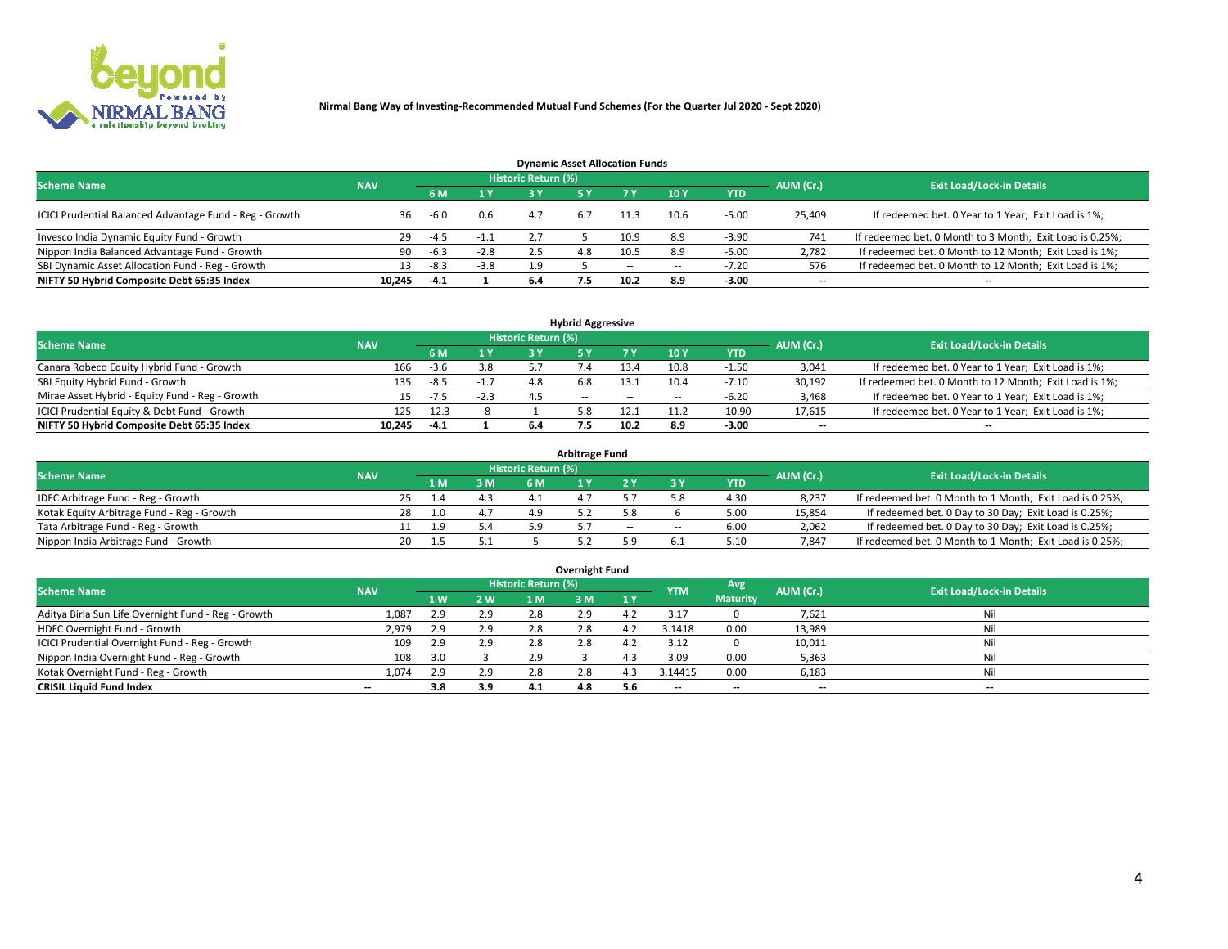

| <b>Dynamic Asset Allocation Funds</b>                   |            |        |        |                     |     |      |        |            |                          |                                                          |  |  |  |  |
|---------------------------------------------------------|------------|--------|--------|---------------------|-----|------|--------|------------|--------------------------|----------------------------------------------------------|--|--|--|--|
| <b>Scheme Name</b>                                      | <b>NAV</b> |        |        | Historic Return (%) |     |      |        |            | AUM (Cr.)                | <b>Exit Load/Lock-in Details</b>                         |  |  |  |  |
|                                                         |            | 6 M    | 1 Y    | 2 V                 |     |      | 10Y    | <b>YTD</b> |                          |                                                          |  |  |  |  |
| ICICI Prudential Balanced Advantage Fund - Reg - Growth | 36.        | $-6.0$ | 0.6    | 4.7                 | 6.7 | 11.3 | 10.6   | $-5.00$    | 25,409                   | If redeemed bet. 0 Year to 1 Year; Exit Load is 1%;      |  |  |  |  |
| Invesco India Dynamic Equity Fund - Growth              | 29         | $-4.5$ | $-1.1$ |                     |     | 10.9 | 8.9    | $-3.90$    | 741                      | If redeemed bet. 0 Month to 3 Month; Exit Load is 0.25%; |  |  |  |  |
| Nippon India Balanced Advantage Fund - Growth           | 90         | $-6.3$ | $-2.8$ | 2.5                 | 4.8 | 10.5 | 8.9    | $-5.00$    | 2,782                    | If redeemed bet. 0 Month to 12 Month; Exit Load is 1%;   |  |  |  |  |
| SBI Dynamic Asset Allocation Fund - Reg - Growth        |            | $-8.3$ | $-3.8$ | 1.9                 |     | --   | $\sim$ | -7.20      | 576                      | If redeemed bet. 0 Month to 12 Month; Exit Load is 1%;   |  |  |  |  |
| NIFTY 50 Hybrid Composite Debt 65:35 Index              | 10.245     | $-4.1$ |        | 6.4                 | 7.5 | 10.2 | 8.9    | $-3.00$    | $\overline{\phantom{a}}$ |                                                          |  |  |  |  |

|                                                 |            |         |        |                     | <b>Hybrid Aggressive</b> |        |      |            |                          |                                                        |
|-------------------------------------------------|------------|---------|--------|---------------------|--------------------------|--------|------|------------|--------------------------|--------------------------------------------------------|
| <b>Scheme Name</b>                              | <b>NAV</b> |         |        | Historic Return (%) |                          |        |      |            | AUM (Cr.)                | <b>Exit Load/Lock-in Details</b>                       |
|                                                 |            | 6 M     | 1 Y    | 2 V                 |                          | 7 V    | 10Y  | <b>YTD</b> |                          |                                                        |
| Canara Robeco Equity Hybrid Fund - Growth       | 166        | $-3.6$  | 3.8    |                     |                          | 13.4   | 10.8 | $-1.50$    | 3,041                    | If redeemed bet. 0 Year to 1 Year; Exit Load is 1%;    |
| SBI Equity Hybrid Fund - Growth                 | 135        | $-8.5$  | $-1.7$ |                     | 6.8                      | 13.1   | 10.4 | $-7.10$    | 30,192                   | If redeemed bet. 0 Month to 12 Month; Exit Load is 1%; |
| Mirae Asset Hybrid - Equity Fund - Reg - Growth | 15         | -7.5    | $-2.3$ | 4.5                 | $\sim$ $-$               | $\sim$ | --   | -6.20      | 3,468                    | If redeemed bet. 0 Year to 1 Year; Exit Load is 1%;    |
| ICICI Prudential Equity & Debt Fund - Growth    | 125        | $-12.3$ |        |                     |                          |        |      | $-10.90$   | 17,615                   | If redeemed bet. 0 Year to 1 Year; Exit Load is 1%;    |
| NIFTY 50 Hybrid Composite Debt 65:35 Index      | 10.245     | $-4.1$  |        | 6.4                 |                          | 10.2   | 8.9  | $-3.00$    | $\overline{\phantom{a}}$ | $- -$                                                  |

| <b>Arbitrage Fund</b>                      |            |    |     |     |                     |  |       |        |            |           |                                                          |  |  |  |
|--------------------------------------------|------------|----|-----|-----|---------------------|--|-------|--------|------------|-----------|----------------------------------------------------------|--|--|--|
| <b>Scheme Name</b>                         | <b>NAV</b> |    |     |     | Historic Return (%) |  |       |        |            | AUM (Cr.) | <b>Exit Load/Lock-in Details</b>                         |  |  |  |
|                                            |            |    | 1 M | 3 M |                     |  |       |        | <b>YTD</b> |           |                                                          |  |  |  |
| IDFC Arbitrage Fund - Reg - Growth         |            |    |     | 4.3 |                     |  |       |        | 4.30       | 8,237     | If redeemed bet. 0 Month to 1 Month; Exit Load is 0.25%; |  |  |  |
| Kotak Equity Arbitrage Fund - Reg - Growth |            | 28 | າ ດ | 4.7 |                     |  |       |        | 5.00       | 15,854    | If redeemed bet. 0 Day to 30 Day; Exit Load is 0.25%;    |  |  |  |
| Tata Arbitrage Fund - Reg - Growth         |            |    | ף י | 5.4 | ב ם                 |  | $- -$ | $\sim$ | 6.00       | 2,062     | If redeemed bet. 0 Day to 30 Day; Exit Load is 0.25%;    |  |  |  |
| Nippon India Arbitrage Fund - Growth       |            | 20 |     |     |                     |  |       |        | 5.10       | 7,847     | If redeemed bet. 0 Month to 1 Month; Exit Load is 0.25%; |  |  |  |

| Overnight Fund                                      |            |     |      |                     |     |     |            |                 |                          |                                  |  |  |  |  |
|-----------------------------------------------------|------------|-----|------|---------------------|-----|-----|------------|-----------------|--------------------------|----------------------------------|--|--|--|--|
| <b>Scheme Name</b>                                  | <b>NAV</b> |     |      | Historic Return (%) |     |     | <b>YTM</b> | Avg             | AUM (Cr.)                | <b>Exit Load/Lock-in Details</b> |  |  |  |  |
|                                                     |            | 1 W | 2 W. | 1 M                 | 3 M | 1 Y |            | <b>Maturity</b> |                          |                                  |  |  |  |  |
| Aditya Birla Sun Life Overnight Fund - Reg - Growth | 1,087      | 2.9 | 2.9  | 2.8                 | 2.9 | 4.Z | 3.1        |                 | 7,621                    | Nil                              |  |  |  |  |
| HDFC Overnight Fund - Growth                        | 2,979      | 2.9 | 2.9  | 2.8                 | 2.8 |     | 3.1418     | 0.00            | 13,989                   | Nil                              |  |  |  |  |
| ICICI Prudential Overnight Fund - Reg - Growth      | 109        | 2.9 | 2.9  | 2.8                 | 2.8 |     | 3.12       |                 | 10,011                   | Nil                              |  |  |  |  |
| Nippon India Overnight Fund - Reg - Growth          | 108        |     |      | 2.9                 |     |     | 3.09       | 0.00            | 5,363                    | Nil                              |  |  |  |  |
| Kotak Overnight Fund - Reg - Growth                 | 1.074      | 2.9 | 2.9  | 2.8                 | 2.8 |     | 3.14415    | 0.00            | 6,183                    | Nil                              |  |  |  |  |
| <b>CRISIL Liquid Fund Index</b>                     | $- -$      | 3.8 | 3.9  | 4.1                 | 4.8 | 5.6 | --         | --              | $\overline{\phantom{a}}$ | --                               |  |  |  |  |

### **Overnight Fund**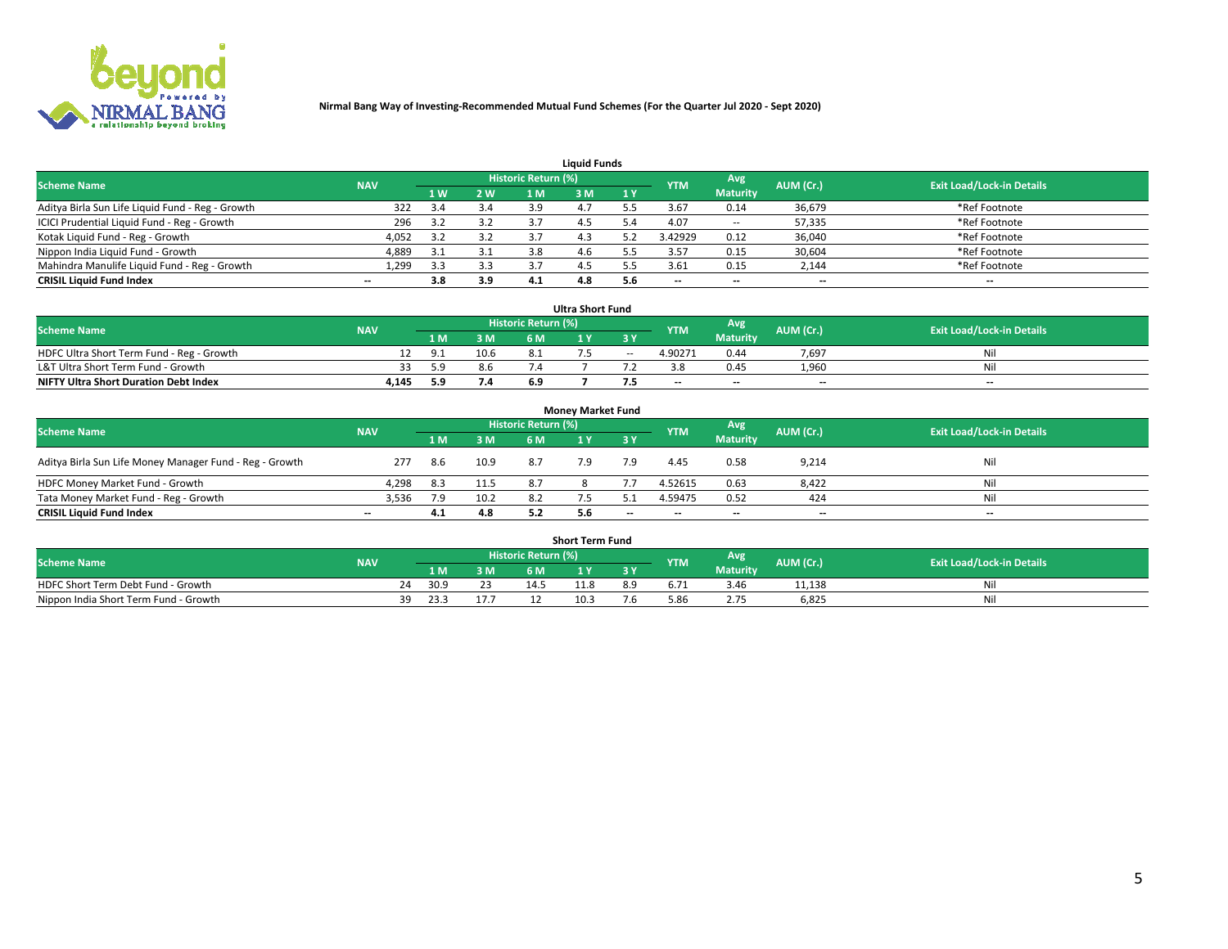

|                                                  |            |     |     |                     | <b>Liquid Funds</b> |     |                          |                 |                          |                                  |
|--------------------------------------------------|------------|-----|-----|---------------------|---------------------|-----|--------------------------|-----------------|--------------------------|----------------------------------|
| <b>Scheme Name</b>                               | <b>NAV</b> |     |     | Historic Return (%) |                     |     | <b>YTM</b>               | Avg             | AUM (Cr.)                | <b>Exit Load/Lock-in Details</b> |
|                                                  |            | 1 W | 2 W | 1 M                 | : M                 | 1Y  |                          | <b>Maturity</b> |                          |                                  |
| Aditya Birla Sun Life Liquid Fund - Reg - Growth | 322        |     | 3.4 | 3.9                 |                     |     | 3.67                     | 0.14            | 36,679                   | *Ref Footnote                    |
| ICICI Prudential Liquid Fund - Reg - Growth      | 296        |     | 3.2 |                     |                     | ، 1 | 4.07                     | $\sim$ $-$      | 57,335                   | *Ref Footnote                    |
| Kotak Liquid Fund - Reg - Growth                 | 4,052      |     | 3.2 |                     | 4.3                 |     | 3.42929                  | 0.12            | 36,040                   | *Ref Footnote                    |
| Nippon India Liquid Fund - Growth                | 4,889      | 3.1 | 3.1 | 3.8                 | 4.6                 |     | 3.57                     | 0.15            | 30,604                   | *Ref Footnote                    |
| Mahindra Manulife Liquid Fund - Reg - Growth     | 1,299      | 3.3 | 3.3 |                     |                     |     | 3.61                     | 0.15            | 2,144                    | *Ref Footnote                    |
| <b>CRISIL Liquid Fund Index</b>                  | $- -$      | 3.8 | 3.9 | 4.1                 | 4.8                 | 5.6 | $\overline{\phantom{a}}$ | $- -$           | $\overline{\phantom{a}}$ | $\overline{\phantom{m}}$         |

|                                              |            |      |      |                            | <b>Ultra Short Fund</b> |        |                          |                 |                          |                                  |
|----------------------------------------------|------------|------|------|----------------------------|-------------------------|--------|--------------------------|-----------------|--------------------------|----------------------------------|
| <b>Scheme Name</b>                           | <b>NAV</b> |      |      | <b>Historic Return (%)</b> |                         |        | <b>YTM</b>               | <b>Avg</b>      | AUM (Cr.)                | <b>Exit Load/Lock-in Details</b> |
|                                              |            | 1 M. | 3 M  | 6 M                        |                         | 3 Y    |                          | <b>Maturity</b> |                          |                                  |
| HDFC Ultra Short Term Fund - Reg - Growth    |            |      | 10.6 |                            |                         | $\sim$ | 4.90271                  | 0.44            | 7,697                    | Nil                              |
| L&T Ultra Short Term Fund - Growth           |            | 59   | 8.6  |                            |                         |        |                          | 0.45            | 1.960                    | Nil                              |
| <b>NIFTY Ultra Short Duration Debt Index</b> | 4,145      | 5.9  | 7.4  | 6.9                        |                         |        | $\overline{\phantom{a}}$ | $- -$           | $\overline{\phantom{a}}$ | $- -$                            |

| <b>Monev Market Fund</b>                                |            |     |      |                     |     |       |                          |                 |                          |                                  |  |  |  |  |
|---------------------------------------------------------|------------|-----|------|---------------------|-----|-------|--------------------------|-----------------|--------------------------|----------------------------------|--|--|--|--|
| <b>Scheme Name</b>                                      | <b>NAV</b> |     |      | Historic Return (%) |     |       | <b>YTM</b>               | 'Avg            | AUM (Cr.)                | <b>Exit Load/Lock-in Details</b> |  |  |  |  |
|                                                         |            | 1 M | 3 M  | 6 M                 |     | -3 Y  |                          | <b>Maturity</b> |                          |                                  |  |  |  |  |
| Aditya Birla Sun Life Money Manager Fund - Reg - Growth | 277        | 8.6 | 10.9 | -8.7                | 7.9 | 7.9   | 4.45                     | 0.58            | 9,214                    | Nil                              |  |  |  |  |
| HDFC Money Market Fund - Growth                         | 4,298      | 8.3 | 11.5 | 87                  |     |       | 4.52615                  | 0.63            | 8,422                    | Nil                              |  |  |  |  |
| Tata Money Market Fund - Reg - Growth                   | 3,536      | 7.9 | 10.2 | 8.2                 |     |       | 4.59475                  | 0.52            | 424                      | Nil                              |  |  |  |  |
| <b>CRISIL Liquid Fund Index</b>                         | $- -$      | 4.1 | 4.8  | 5.2                 | 5.6 | $- -$ | $\overline{\phantom{a}}$ | $-$             | $\overline{\phantom{a}}$ | $\overline{\phantom{a}}$         |  |  |  |  |

|                                       |            |       |     |                     | <b>Short Term Fund</b> |     |      |                 |           |                                  |
|---------------------------------------|------------|-------|-----|---------------------|------------------------|-----|------|-----------------|-----------|----------------------------------|
| <b>Scheme Name</b>                    | <b>NAV</b> |       |     | Historic Return (%) |                        |     | YTM  | Avg             | AUM (Cr.) | <b>Exit Load/Lock-in Details</b> |
|                                       |            | 1 M . | 3 M | 6 M                 |                        | 2V  |      | <b>Maturity</b> |           |                                  |
| HDFC Short Term Debt Fund - Growth    |            | 30.9  | 23  | 14.5                | 11.8                   | 8.9 |      | 3.46            | 11,138    | M                                |
| Nippon India Short Term Fund - Growth | 39         | 23.3  |     |                     | 10.3                   | '.C | 5.86 |                 | 6,825     | N                                |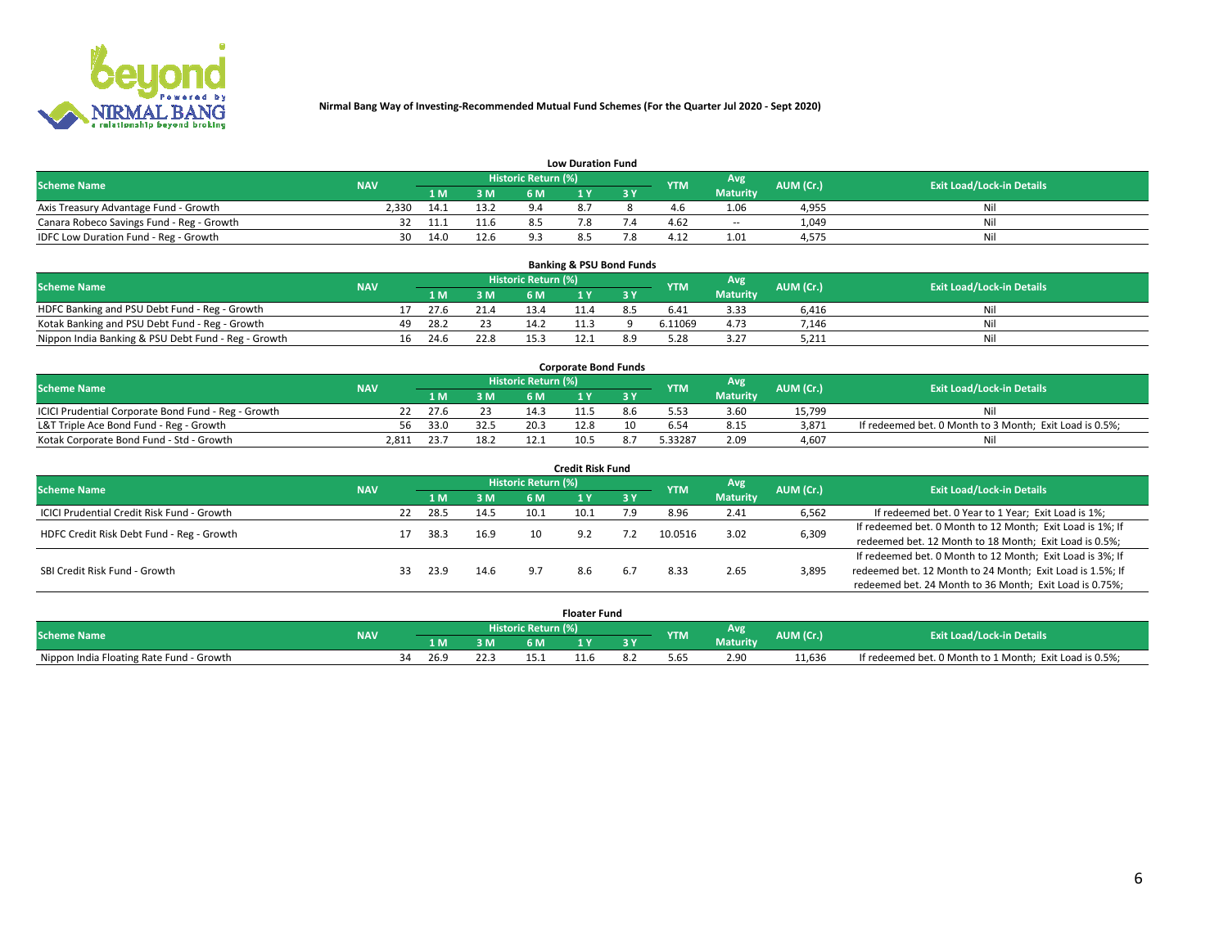

|                                           |            |      |      |                            | <b>Low Duration Fund</b> |            |                 |           |                                  |
|-------------------------------------------|------------|------|------|----------------------------|--------------------------|------------|-----------------|-----------|----------------------------------|
| <b>Scheme Name</b>                        | <b>NAV</b> |      |      | <b>Historic Return (%)</b> |                          | <b>YTM</b> | Avg             | AUM (Cr.) | <b>Exit Load/Lock-in Details</b> |
|                                           |            | 1 M  | 3 M  |                            |                          |            | <b>Maturity</b> |           |                                  |
| Axis Treasury Advantage Fund - Growth     | 2.330      | 14.1 | 13.2 | $Q \Lambda$                |                          |            | 1.06            | 4,955     | Nil                              |
| Canara Robeco Savings Fund - Reg - Growth |            | 11.1 |      |                            |                          | 4.62       | $- -$           | 1,049     | Nil                              |
| IDFC Low Duration Fund - Reg - Growth     | 30         | 14.0 | 12.6 | ດ :                        |                          | 4.12       | 1.01            | 4,575     | Nil                              |

| <b>Banking &amp; PSU Bond Funds</b>                 |            |     |      |      |                     |  |  |            |                 |           |                                  |  |  |  |
|-----------------------------------------------------|------------|-----|------|------|---------------------|--|--|------------|-----------------|-----------|----------------------------------|--|--|--|
| <b>Scheme Name</b>                                  | <b>NAV</b> |     |      |      | Historic Return (%) |  |  | <b>YTM</b> | Avg             | AUM (Cr.) | <b>Exit Load/Lock-in Details</b> |  |  |  |
|                                                     |            |     | 1 M  | 3 M  | 6 M                 |  |  |            | <b>Maturity</b> |           |                                  |  |  |  |
| HDFC Banking and PSU Debt Fund - Reg - Growth       |            |     | 27.6 | 21.4 | 13.4                |  |  | 6.41       | 3.33            | 6.416     | Ni                               |  |  |  |
| Kotak Banking and PSU Debt Fund - Reg - Growth      |            | 49. | 28.2 |      | 14.2                |  |  | 6.11069    | 4.73            | 7,146     | Ni                               |  |  |  |
| Nippon India Banking & PSU Debt Fund - Reg - Growth |            | 16. | 24.6 | 22.8 |                     |  |  |            | 3.27            | 5,211     | Ni                               |  |  |  |

| <b>Corporate Bond Funds</b>                         |            |      |      |                            |      |  |            |          |           |                                                         |  |  |  |  |
|-----------------------------------------------------|------------|------|------|----------------------------|------|--|------------|----------|-----------|---------------------------------------------------------|--|--|--|--|
| <b>Scheme Name</b>                                  | <b>NAV</b> |      |      | <b>Historic Return (%)</b> |      |  | <b>YTM</b> | Avg      | AUM (Cr.) | <b>Exit Load/Lock-in Details</b>                        |  |  |  |  |
|                                                     |            |      | 3 M  | 6 M.                       |      |  |            | Maturity |           |                                                         |  |  |  |  |
| ICICI Prudential Corporate Bond Fund - Reg - Growth |            | 27.6 |      |                            |      |  |            | 3.60     | 15.799    | Nil                                                     |  |  |  |  |
| L&T Triple Ace Bond Fund - Reg - Growth             | 56         | 33.0 | 32.5 | 20.3                       |      |  |            | 8.15     | 3,871     | If redeemed bet. 0 Month to 3 Month; Exit Load is 0.5%; |  |  |  |  |
| Kotak Corporate Bond Fund - Std - Growth            | 2.811      | 23.7 | 18.2 |                            | 10.5 |  | 5.33287    | 2.09     | 4.607     | Nil                                                     |  |  |  |  |

| <b>Credit Risk Fund</b>                    |            |    |      |      |                            |      |       |            |                 |           |                                                           |  |  |
|--------------------------------------------|------------|----|------|------|----------------------------|------|-------|------------|-----------------|-----------|-----------------------------------------------------------|--|--|
| <b>Scheme Name</b>                         | <b>NAV</b> |    |      |      | <b>Historic Return (%)</b> |      |       | <b>YTM</b> | Avg             | AUM (Cr.) | <b>Exit Load/Lock-in Details</b>                          |  |  |
|                                            |            |    | 1 M  | 3M   | 6 M                        |      | 73 Y. |            | <b>Maturity</b> |           |                                                           |  |  |
| ICICI Prudential Credit Risk Fund - Growth |            | 22 | 28.5 | 14.5 | 10.1                       | 10.1 | و.י   | 8.96       | 2.41            | 6,562     | If redeemed bet. 0 Year to 1 Year; Exit Load is 1%;       |  |  |
| HDFC Credit Risk Debt Fund - Reg - Growth  |            |    | 38.3 | 16.9 |                            | 9.2  | 7.2   | 10.0516    | 3.02            | 6,309     | If redeemed bet. 0 Month to 12 Month; Exit Load is 1%; If |  |  |
|                                            |            |    |      |      |                            |      |       |            |                 |           | redeemed bet. 12 Month to 18 Month; Exit Load is 0.5%;    |  |  |
|                                            |            |    |      |      |                            |      |       |            |                 |           | If redeemed bet. 0 Month to 12 Month; Exit Load is 3%; If |  |  |
| SBI Credit Risk Fund - Growth              |            | 33 | 23.9 | 14.6 |                            | 8.6  | 6.7   | 8.33       | 2.65            | 3,895     | redeemed bet. 12 Month to 24 Month; Exit Load is 1.5%; If |  |  |
|                                            |            |    |      |      |                            |      |       |            |                 |           | redeemed bet. 24 Month to 36 Month; Exit Load is 0.75%;   |  |  |

| <b>Floater Fund</b>                      |            |                            |      |      |     |  |    |           |          |           |                                                         |  |
|------------------------------------------|------------|----------------------------|------|------|-----|--|----|-----------|----------|-----------|---------------------------------------------------------|--|
| <b>Scheme Name</b>                       | <b>NAV</b> | <b>Historic Return (%)</b> |      |      |     |  |    | <b>TM</b> | Avg.     | AUM (Cr.) | <b>Exit Load/Lock-in Details</b>                        |  |
|                                          |            |                            | 1 M  | ЗM   | 6 M |  | 2V |           | Maturity |           |                                                         |  |
| Nippon India Floating Rate Fund - Growth |            |                            | 26.9 | 22.: |     |  |    | 5.65      | 2.90     | 11.636    | If redeemed bet. 0 Month to 1 Month; Exit Load is 0.5%; |  |